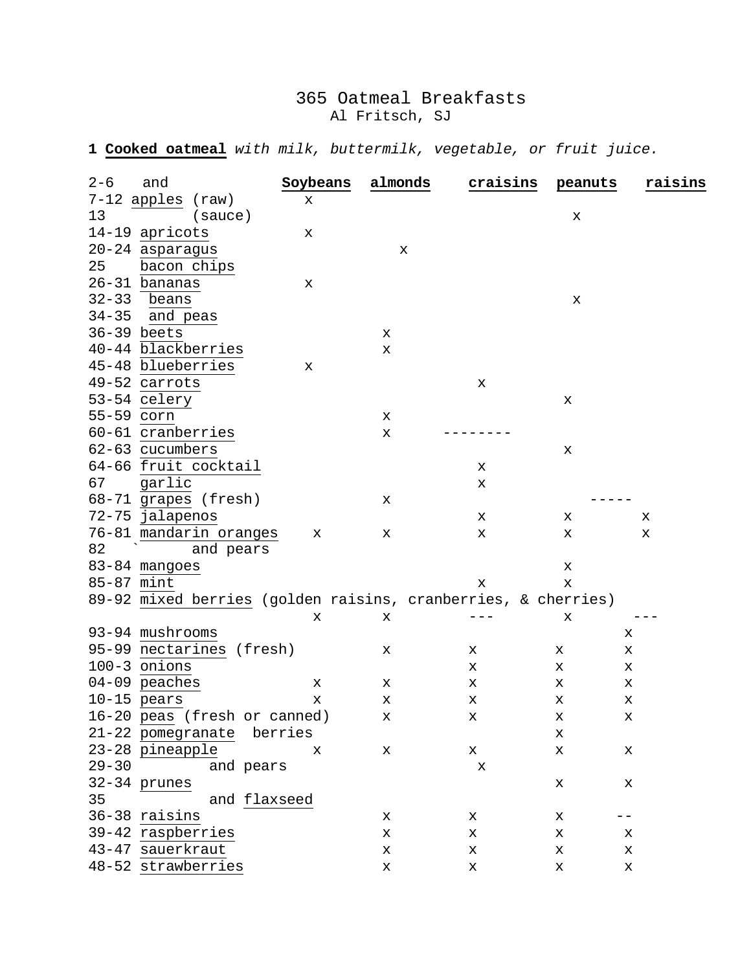## 365 Oatmeal Breakfasts Al Fritsch, SJ

**1 Cooked oatmeal** *with milk, buttermilk, vegetable, or fruit juice.* 

| $7-12$ apples (raw)<br>x<br>13<br>(sauce)<br>Х<br>14-19 apricots<br>х<br>20-24 asparagus<br>х<br>25<br>bacon chips<br>26-31 bananas<br>х<br>$32-33$ beans<br>х<br>34-35 and peas<br>$36-39$ beets<br>x<br>40-44 blackberries<br>Х<br>45-48 blueberries<br>х<br>49-52 carrots<br>x<br>53-54 celery<br>x<br>55-59 corn<br>x | $2 - 6$ | and | Soybeans | almonds | craisins | peanuts | raisins |
|---------------------------------------------------------------------------------------------------------------------------------------------------------------------------------------------------------------------------------------------------------------------------------------------------------------------------|---------|-----|----------|---------|----------|---------|---------|
|                                                                                                                                                                                                                                                                                                                           |         |     |          |         |          |         |         |
|                                                                                                                                                                                                                                                                                                                           |         |     |          |         |          |         |         |
|                                                                                                                                                                                                                                                                                                                           |         |     |          |         |          |         |         |
|                                                                                                                                                                                                                                                                                                                           |         |     |          |         |          |         |         |
|                                                                                                                                                                                                                                                                                                                           |         |     |          |         |          |         |         |
|                                                                                                                                                                                                                                                                                                                           |         |     |          |         |          |         |         |
|                                                                                                                                                                                                                                                                                                                           |         |     |          |         |          |         |         |
|                                                                                                                                                                                                                                                                                                                           |         |     |          |         |          |         |         |
|                                                                                                                                                                                                                                                                                                                           |         |     |          |         |          |         |         |
|                                                                                                                                                                                                                                                                                                                           |         |     |          |         |          |         |         |
|                                                                                                                                                                                                                                                                                                                           |         |     |          |         |          |         |         |
|                                                                                                                                                                                                                                                                                                                           |         |     |          |         |          |         |         |
|                                                                                                                                                                                                                                                                                                                           |         |     |          |         |          |         |         |
|                                                                                                                                                                                                                                                                                                                           |         |     |          |         |          |         |         |
| 60-61 cranberries<br>x                                                                                                                                                                                                                                                                                                    |         |     |          |         |          |         |         |
| 62-63 cucumbers<br>x                                                                                                                                                                                                                                                                                                      |         |     |          |         |          |         |         |
| 64-66 fruit cocktail<br>x                                                                                                                                                                                                                                                                                                 |         |     |          |         |          |         |         |
| 67<br>garlic<br>x                                                                                                                                                                                                                                                                                                         |         |     |          |         |          |         |         |
| 68-71 grapes (fresh)<br>x                                                                                                                                                                                                                                                                                                 |         |     |          |         |          |         |         |
| 72-75 jalapenos<br>х<br>х<br>х                                                                                                                                                                                                                                                                                            |         |     |          |         |          |         |         |
| 76-81 mandarin oranges<br>X<br>x<br>х<br>х<br>x                                                                                                                                                                                                                                                                           |         |     |          |         |          |         |         |
| and pears<br>82                                                                                                                                                                                                                                                                                                           |         |     |          |         |          |         |         |
| 83-84 mangoes<br>x                                                                                                                                                                                                                                                                                                        |         |     |          |         |          |         |         |
| 85-87 mint<br>x<br>x                                                                                                                                                                                                                                                                                                      |         |     |          |         |          |         |         |
| 89-92 mixed berries (golden raisins, cranberries, & cherries)                                                                                                                                                                                                                                                             |         |     |          |         |          |         |         |
| X<br>x<br>x                                                                                                                                                                                                                                                                                                               |         |     |          |         |          |         |         |
| 93-94 mushrooms<br>x                                                                                                                                                                                                                                                                                                      |         |     |          |         |          |         |         |
| 95-99 nectarines (fresh)<br>х<br>x<br>х<br>x                                                                                                                                                                                                                                                                              |         |     |          |         |          |         |         |
| 100-3 onions<br>x<br>x<br>x                                                                                                                                                                                                                                                                                               |         |     |          |         |          |         |         |
| 04-09 peaches<br>х<br>x<br>x<br>x<br>x                                                                                                                                                                                                                                                                                    |         |     |          |         |          |         |         |
| $10-15$ pears<br>Х<br>x<br>x<br>х<br>х                                                                                                                                                                                                                                                                                    |         |     |          |         |          |         |         |
| 16-20 peas (fresh or canned)<br>Х<br>х<br>х<br>х                                                                                                                                                                                                                                                                          |         |     |          |         |          |         |         |
| 21-22 pomegranate berries<br>х                                                                                                                                                                                                                                                                                            |         |     |          |         |          |         |         |
| 23-28 pineapple<br>x<br>х<br>x<br>x<br>x                                                                                                                                                                                                                                                                                  |         |     |          |         |          |         |         |
| $29 - 30$<br>and pears<br>х                                                                                                                                                                                                                                                                                               |         |     |          |         |          |         |         |
| 32-34 prunes<br>x<br>x                                                                                                                                                                                                                                                                                                    |         |     |          |         |          |         |         |
| 35<br>and flaxseed                                                                                                                                                                                                                                                                                                        |         |     |          |         |          |         |         |
| 36-38 raisins<br>x<br>x<br>x                                                                                                                                                                                                                                                                                              |         |     |          |         |          |         |         |
| 39-42 raspberries<br>x<br>x<br>x<br>x                                                                                                                                                                                                                                                                                     |         |     |          |         |          |         |         |
| 43-47 sauerkraut<br>х<br>х<br>х<br>х                                                                                                                                                                                                                                                                                      |         |     |          |         |          |         |         |
| 48-52 strawberries<br>х<br>х<br>х<br>х                                                                                                                                                                                                                                                                                    |         |     |          |         |          |         |         |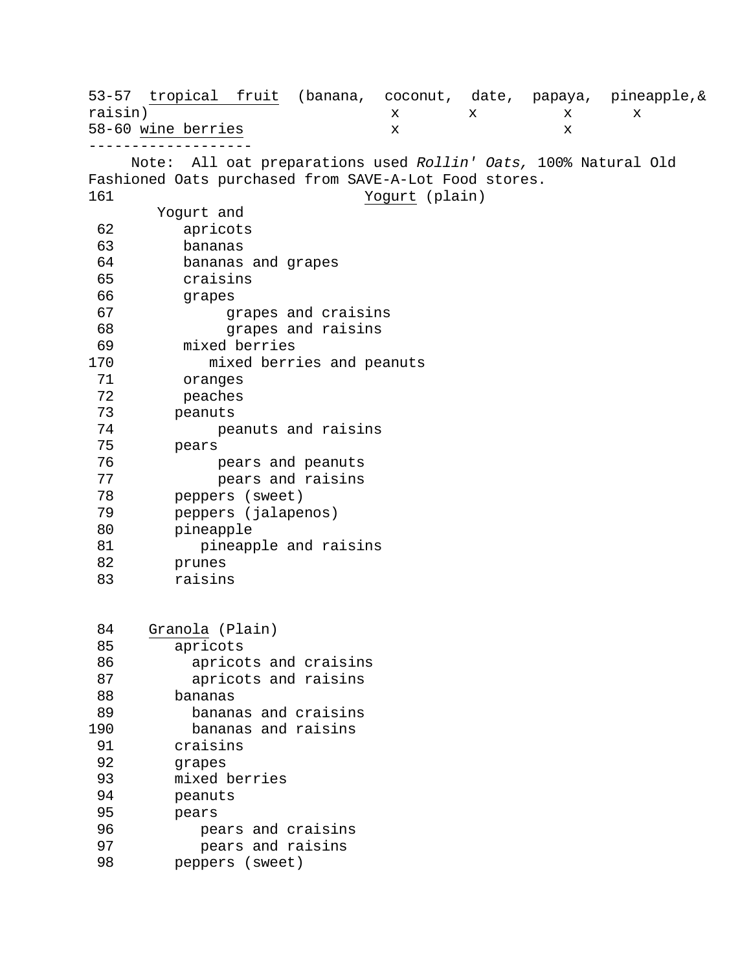53-57 tropical fruit (banana, coconut, date, papaya, pineapple, & raisin) raisin) x x x x 58-60 wine berries x x ------------------- Note: All oat preparations used *Rollin' Oats,* 100% Natural Old Fashioned Oats purchased from SAVE-A-Lot Food stores. Yogurt (plain) Yogurt and<br>62 apricots apricots 63 bananas 64 bananas and grapes<br>65 craisins 65 craisins 66 grapes<br>67 g: 67 grapes and craisins 68 grapes and raisins<br>69 mixed berries 69 mixed berries 70 mixed berries and peanuts<br>71 oranges oranges 72 peaches 73 peanuts 74 peanuts and raisins<br>75 pears 75 pears 76 pears and peanuts 77 pears and raisins<br>78 peppers (sweet) 78 peppers (sweet)<br>79 peppers (jalaper 79 peppers (jalapenos) 80 pineapple<br>81 pineap 81 pineapple and raisins<br>82 prunes 82 prunes<br>83 raisin raisins 84 Granola (Plain)<br>85 apricots apricots 86 apricots and craisins 87 apricots and raisins 88 bananas 89 bananas and craisins 90 bananas and raisins<br>91 craisins 91 craisins<br>92 grapes 92 grapes<br>93 mixed l 93 mixed berries<br>94 peanuts 94 peanuts<br>95 pears 95 pears<br>96 pea 96 pears and craisins 97 pears and raisins<br>98 peppers (sweet) peppers (sweet)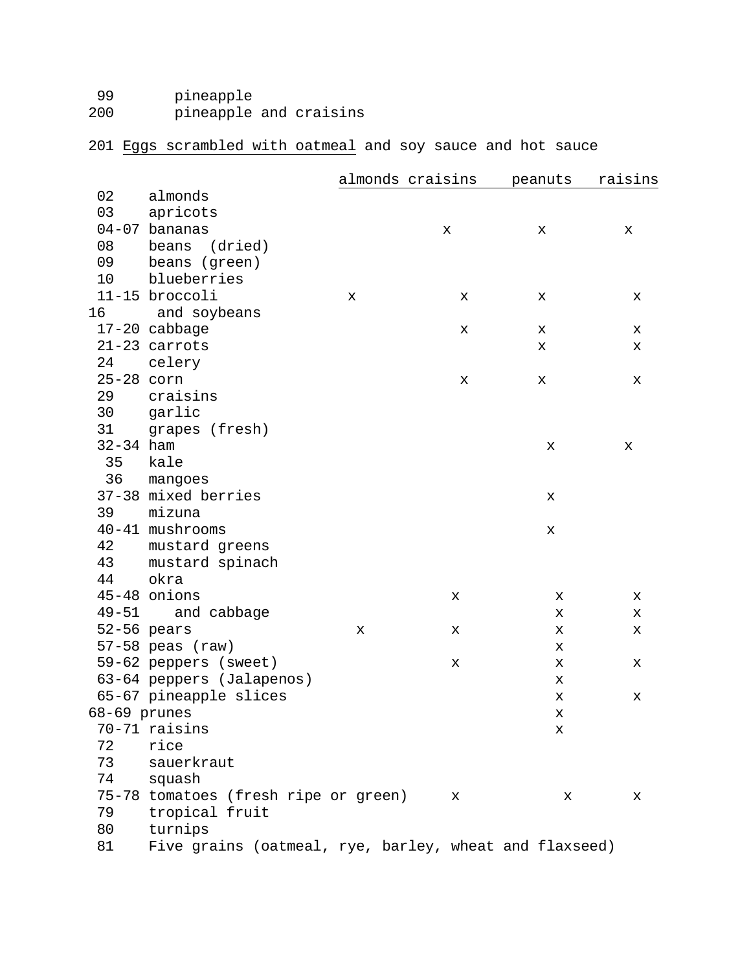99 pineapple<br>200 pineapple pineapple and craisins

## 201 Eggs scrambled with oatmeal and soy sauce and hot sauce

|               |                                                        |   | almonds craisins | peanuts | raisins |
|---------------|--------------------------------------------------------|---|------------------|---------|---------|
| 02            | almonds                                                |   |                  |         |         |
| 03            | apricots                                               |   |                  |         |         |
|               | $04-07$ bananas                                        |   | x                | x       | x       |
| 08            | beans (dried)                                          |   |                  |         |         |
| 09            | beans (green)                                          |   |                  |         |         |
| 10            | blueberries                                            |   |                  |         |         |
|               | 11-15 broccoli                                         | х | x                | х       | х       |
| 16            | and soybeans                                           |   |                  |         |         |
|               | 17-20 cabbage                                          |   | х                | X       | x       |
|               | $21-23$ carrots                                        |   |                  | x       | х       |
| 24            | celery                                                 |   |                  |         |         |
| 25-28 corn    |                                                        |   | x                | x       | х       |
| 29            | craisins                                               |   |                  |         |         |
| 30            | garlic                                                 |   |                  |         |         |
| 31            | grapes (fresh)                                         |   |                  |         |         |
| $32 - 34$ ham |                                                        |   |                  | x       | х       |
| 35            | kale                                                   |   |                  |         |         |
| 36            | mangoes                                                |   |                  |         |         |
|               | 37-38 mixed berries                                    |   |                  | x       |         |
| 39            | mizuna                                                 |   |                  |         |         |
|               | 40-41 mushrooms                                        |   |                  | x       |         |
| 42            | mustard greens                                         |   |                  |         |         |
| 43            | mustard spinach                                        |   |                  |         |         |
| 44            | okra                                                   |   |                  |         |         |
|               | 45-48 onions                                           |   | х                | х       | х       |
|               | 49-51 and cabbage                                      |   |                  | х       | x       |
|               | $52-56$ pears                                          | х | х                | х       | х       |
|               | $57-58$ peas (raw)                                     |   |                  | х       |         |
|               | 59-62 peppers (sweet)                                  |   | x                | х       | х       |
|               | 63-64 peppers (Jalapenos)                              |   |                  | х       |         |
|               | 65-67 pineapple slices                                 |   |                  | X       | х       |
| 68-69 prunes  |                                                        |   |                  | х       |         |
|               | 70-71 raisins                                          |   |                  | х       |         |
| 72            | rice                                                   |   |                  |         |         |
| 73            | sauerkraut                                             |   |                  |         |         |
| 74            | squash                                                 |   |                  |         |         |
|               | 75-78 tomatoes (fresh ripe or green)                   |   | х                | x       | х       |
| 79            | tropical fruit                                         |   |                  |         |         |
| 80            | turnips                                                |   |                  |         |         |
| 81            | Five grains (oatmeal, rye, barley, wheat and flaxseed) |   |                  |         |         |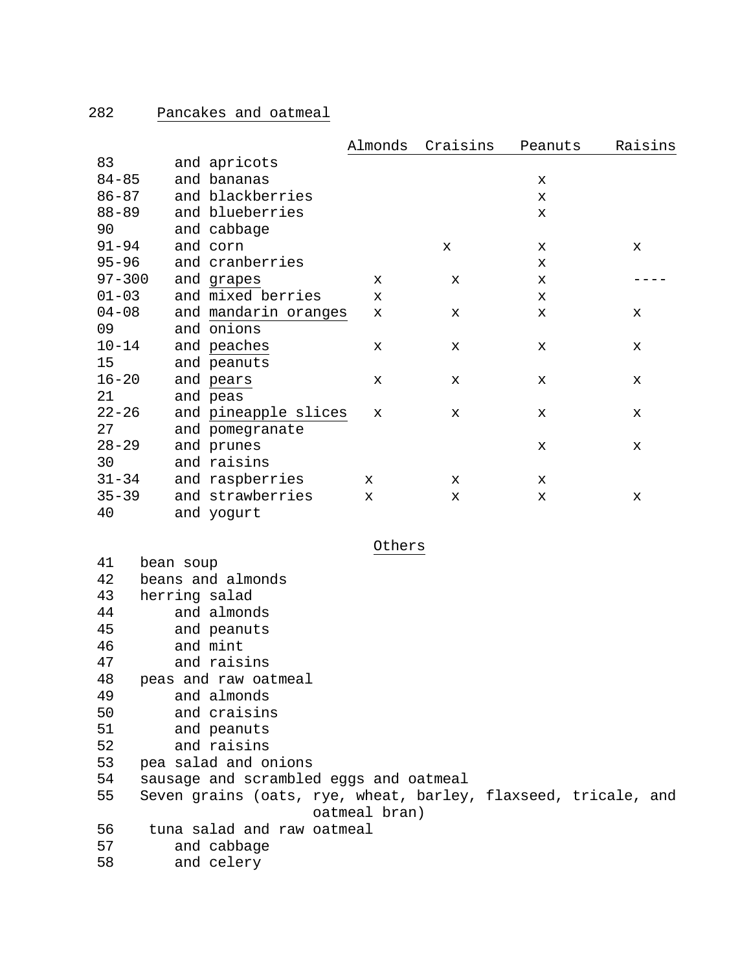|            |                 |                      | Almonds     | Craisins     | Peanuts     | Raisins |
|------------|-----------------|----------------------|-------------|--------------|-------------|---------|
| 83         |                 | and apricots         |             |              |             |         |
| $84 - 85$  |                 | and bananas          |             |              | X           |         |
| $86 - 87$  |                 | and blackberries     |             |              | X           |         |
| $88 - 89$  |                 | and blueberries      |             |              | X           |         |
| 90         |                 | and cabbage          |             |              |             |         |
| $91 - 94$  |                 | and corn             |             | $\mathbf{x}$ | X           | X       |
| $95 - 96$  |                 | and cranberries      |             |              | x           |         |
| $97 - 300$ |                 | and grapes           | x           | X            | $\mathbf x$ |         |
| $01 - 03$  |                 | and mixed berries    | X           |              | X           |         |
| $04 - 08$  |                 | and mandarin oranges | x           | X            | $\mathbf x$ | X       |
| 09         |                 | and onions           |             |              |             |         |
| $10 - 14$  |                 | and peaches          | x           | x            | X           | X       |
| 15         |                 | and peanuts          |             |              |             |         |
| $16 - 20$  |                 | and pears            | х           | х            | X           | X       |
| 21         |                 | and peas             |             |              |             |         |
| $22 - 26$  |                 | and pineapple slices | X           | X            | X           | X       |
| 27         |                 | and pomegranate      |             |              |             |         |
| $28 - 29$  |                 | and prunes           |             |              | X           | X       |
| 30         |                 | and raisins          |             |              |             |         |
| $31 - 34$  |                 | and raspberries      | $\mathbf x$ | X            | X           |         |
| $35 - 39$  |                 | and strawberries     | x           | x            | x           | x       |
| 40         |                 | and yogurt           |             |              |             |         |
|            |                 |                      |             |              |             |         |
|            |                 |                      | Others      |              |             |         |
|            | 41<br>bean soup |                      |             |              |             |         |
| 42         |                 | beans and almonds    |             |              |             |         |
| 43         |                 | herring salad        |             |              |             |         |

| 44 | and almonds                                                    |
|----|----------------------------------------------------------------|
| 45 | and peanuts                                                    |
| 46 | and mint                                                       |
| 47 | and raisins                                                    |
| 48 | peas and raw oatmeal                                           |
| 49 | and almonds                                                    |
| 50 | and craisins                                                   |
| 51 | and peanuts                                                    |
| 52 | and raisins                                                    |
| 53 | pea salad and onions                                           |
| 54 | sausage and scrambled eggs and oatmeal                         |
| 55 | Seven grains (oats, rye, wheat, barley, flaxseed, tricale, and |
|    | oatmeal bran)                                                  |
| 56 | tuna salad and raw oatmeal                                     |
| 57 | and cabbage                                                    |
| 58 | and celery                                                     |